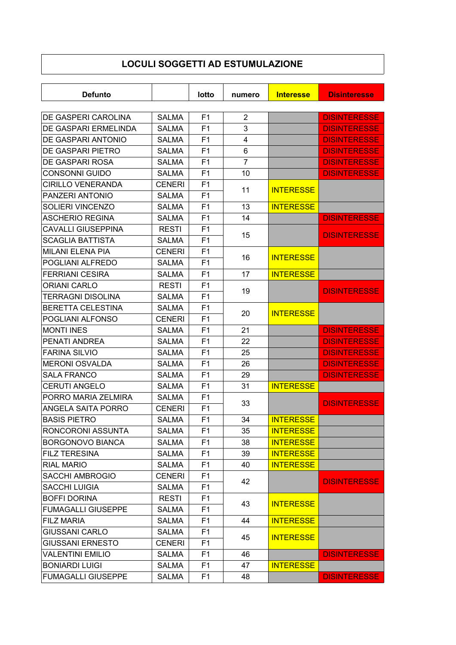## **LOCULI SOGGETTI AD ESTUMULAZIONE**

| <b>Defunto</b>                              |                              | lotto                            | numero              | <b>Interesse</b> | <b>Disinteresse</b>                        |
|---------------------------------------------|------------------------------|----------------------------------|---------------------|------------------|--------------------------------------------|
|                                             |                              |                                  |                     |                  |                                            |
| DE GASPERI CAROLINA<br>DE GASPARI ERMELINDA | <b>SALMA</b>                 | F <sub>1</sub><br>F <sub>1</sub> | $\overline{2}$<br>3 |                  | <b>DISINTERESSE</b>                        |
| DE GASPARI ANTONIO                          | <b>SALMA</b>                 | F <sub>1</sub>                   |                     |                  | <b>DISINTERESSE</b><br><b>DISINTERESSE</b> |
| DE GASPARI PIETRO                           | <b>SALMA</b><br><b>SALMA</b> | F <sub>1</sub>                   | 4<br>6              |                  | <b>DISINTERESSE</b>                        |
| DE GASPARI ROSA                             |                              | F <sub>1</sub>                   | $\overline{7}$      |                  | <b>DISINTERESSE</b>                        |
| <b>CONSONNI GUIDO</b>                       | <b>SALMA</b><br><b>SALMA</b> | F <sub>1</sub>                   | 10                  |                  | <b>DISINTERESSE</b>                        |
| <b>CIRILLO VENERANDA</b>                    |                              |                                  |                     |                  |                                            |
| PANZERI ANTONIO                             | <b>CENERI</b>                | F <sub>1</sub>                   | 11                  | <b>INTERESSE</b> |                                            |
|                                             | <b>SALMA</b>                 | F <sub>1</sub>                   |                     |                  |                                            |
| SOLIERI VINCENZO                            | <b>SALMA</b>                 | F <sub>1</sub>                   | 13                  | <b>INTERESSE</b> |                                            |
| <b>ASCHERIO REGINA</b>                      | <b>SALMA</b>                 | F <sub>1</sub>                   | 14                  |                  | <b>DISINTERESSE</b>                        |
| <b>CAVALLI GIUSEPPINA</b>                   | <b>RESTI</b>                 | F <sub>1</sub>                   | 15                  |                  | <b>DISINTERESSE</b>                        |
| <b>SCAGLIA BATTISTA</b>                     | <b>SALMA</b>                 | F <sub>1</sub>                   |                     |                  |                                            |
| <b>MILANI ELENA PIA</b>                     | <b>CENERI</b>                | F <sub>1</sub>                   | 16                  | <b>INTERESSE</b> |                                            |
| POGLIANI ALFREDO                            | <b>SALMA</b>                 | F <sub>1</sub>                   |                     |                  |                                            |
| <b>FERRIANI CESIRA</b>                      | <b>SALMA</b>                 | F <sub>1</sub>                   | 17                  | <b>INTERESSE</b> |                                            |
| <b>ORIANI CARLO</b>                         | <b>RESTI</b>                 | F <sub>1</sub>                   | 19                  |                  | <b>DISINTERESSE</b>                        |
| TERRAGNI DISOLINA                           | <b>SALMA</b>                 | F <sub>1</sub>                   |                     |                  |                                            |
| <b>BERETTA CELESTINA</b>                    | <b>SALMA</b>                 | F <sub>1</sub>                   | 20                  | <b>INTERESSE</b> |                                            |
| POGLIANI ALFONSO                            | <b>CENERI</b>                | F <sub>1</sub>                   |                     |                  |                                            |
| <b>MONTI INES</b>                           | <b>SALMA</b>                 | F1                               | 21                  |                  | <b>DISINTERESSE</b>                        |
| PENATI ANDREA                               | <b>SALMA</b>                 | F <sub>1</sub>                   | 22                  |                  | <b>DISINTERESSE</b>                        |
| <b>FARINA SILVIO</b>                        | <b>SALMA</b>                 | F <sub>1</sub>                   | 25                  |                  | <b>DISINTERESSE</b>                        |
| <b>MERONI OSVALDA</b>                       | <b>SALMA</b>                 | F <sub>1</sub>                   | 26                  |                  | <b>DISINTERESSE</b>                        |
| <b>SALA FRANCO</b>                          | <b>SALMA</b>                 | F <sub>1</sub>                   | 29                  |                  | <b>DISINTERESSE</b>                        |
| <b>CERUTI ANGELO</b>                        | <b>SALMA</b>                 | F <sub>1</sub>                   | 31                  | <b>INTERESSE</b> |                                            |
| PORRO MARIA ZELMIRA                         | <b>SALMA</b>                 | F <sub>1</sub>                   | 33                  |                  | <b>DISINTERESSE</b>                        |
| ANGELA SAITA PORRO                          | <b>CENERI</b>                | F <sub>1</sub>                   |                     |                  |                                            |
| <b>BASIS PIETRO</b>                         | <b>SALMA</b>                 | F1                               | 34                  | <b>INTERESSE</b> |                                            |
| RONCORONI ASSUNTA                           | <b>SALMA</b>                 | F1                               | 35                  | <b>INTERESSE</b> |                                            |
| <b>BORGONOVO BIANCA</b>                     | <b>SALMA</b>                 | F1                               | 38                  | <b>INTERESSE</b> |                                            |
| <b>FILZ TERESINA</b>                        | <b>SALMA</b>                 | F <sub>1</sub>                   | 39                  | <b>INTERESSE</b> |                                            |
| <b>RIAL MARIO</b>                           | SALMA                        | F <sub>1</sub>                   | 40                  | <b>INTERESSE</b> |                                            |
| <b>SACCHI AMBROGIO</b>                      | <b>CENERI</b>                | F1                               |                     |                  |                                            |
| <b>SACCHI LUIGIA</b>                        | <b>SALMA</b>                 | F <sub>1</sub>                   | 42                  |                  | <b>DISINTERESSE</b>                        |
| <b>BOFFI DORINA</b>                         | <b>RESTI</b>                 | F1                               |                     | <b>INTERESSE</b> |                                            |
| <b>FUMAGALLI GIUSEPPE</b>                   | <b>SALMA</b>                 | F <sub>1</sub>                   | 43                  |                  |                                            |
| <b>FILZ MARIA</b>                           | <b>SALMA</b>                 | F1                               | 44                  | <b>INTERESSE</b> |                                            |
| <b>GIUSSANI CARLO</b>                       | <b>SALMA</b>                 | F1                               |                     |                  |                                            |
| <b>GIUSSANI ERNESTO</b>                     | <b>CENERI</b>                | F <sub>1</sub>                   | 45                  | <b>INTERESSE</b> |                                            |
| <b>VALENTINI EMILIO</b>                     | <b>SALMA</b>                 | F1                               | 46                  |                  | <b>DISINTERESSE</b>                        |
| <b>BONIARDI LUIGI</b>                       | <b>SALMA</b>                 | F <sub>1</sub>                   | 47                  | <b>INTERESSE</b> |                                            |
| <b>FUMAGALLI GIUSEPPE</b>                   | <b>SALMA</b>                 | F <sub>1</sub>                   | 48                  |                  | <b>DISINTERESSE</b>                        |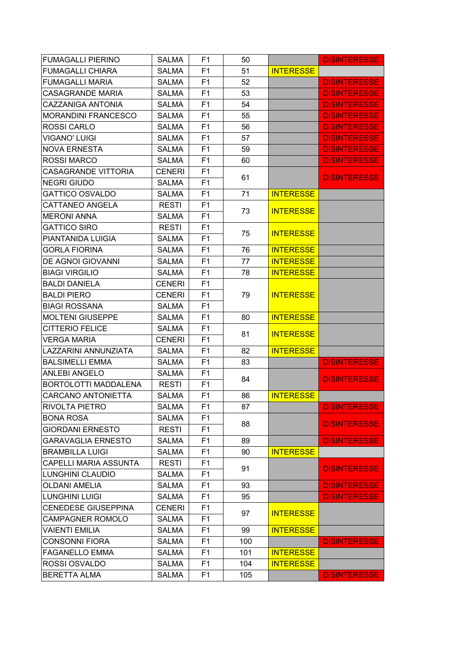| <b>FUMAGALLI PIERINO</b>   | <b>SALMA</b>  | F <sub>1</sub> | 50  |                  | <b>DISINTERESSE</b> |
|----------------------------|---------------|----------------|-----|------------------|---------------------|
| <b>FUMAGALLI CHIARA</b>    | <b>SALMA</b>  | F1             | 51  | <b>INTERESSE</b> |                     |
| <b>FUMAGALLI MARIA</b>     | <b>SALMA</b>  | F <sub>1</sub> | 52  |                  | <b>DISINTERESSE</b> |
| <b>CASAGRANDE MARIA</b>    | <b>SALMA</b>  | F1             | 53  |                  | <b>DISINTERESSE</b> |
| <b>CAZZANIGA ANTONIA</b>   | <b>SALMA</b>  | F <sub>1</sub> | 54  |                  | <b>DISINTERESSE</b> |
| <b>MORANDINI FRANCESCO</b> | <b>SALMA</b>  | F <sub>1</sub> | 55  |                  | <b>DISINTERESSE</b> |
| <b>ROSSI CARLO</b>         | <b>SALMA</b>  | F <sub>1</sub> | 56  |                  | <b>DISINTERESSE</b> |
| <b>VIGANO' LUIGI</b>       | <b>SALMA</b>  | F <sub>1</sub> | 57  |                  | <b>DISINTERESSE</b> |
| <b>NOVA ERNESTA</b>        | <b>SALMA</b>  | F <sub>1</sub> | 59  |                  | <b>DISINTERESSE</b> |
| <b>ROSSI MARCO</b>         | <b>SALMA</b>  | F <sub>1</sub> | 60  |                  | <b>DISINTERESSE</b> |
| <b>CASAGRANDE VITTORIA</b> | <b>CENERI</b> | F <sub>1</sub> |     |                  |                     |
| <b>NEGRI GIUDO</b>         | <b>SALMA</b>  | F <sub>1</sub> | 61  |                  | <b>DISINTERESSE</b> |
| <b>GATTICO OSVALDO</b>     | <b>SALMA</b>  | F <sub>1</sub> | 71  | <b>INTERESSE</b> |                     |
| <b>CATTANEO ANGELA</b>     | <b>RESTI</b>  | F <sub>1</sub> |     |                  |                     |
| <b>MERONI ANNA</b>         | <b>SALMA</b>  | F <sub>1</sub> | 73  | <b>INTERESSE</b> |                     |
| <b>GATTICO SIRO</b>        | <b>RESTI</b>  | F <sub>1</sub> |     |                  |                     |
| PIANTANIDA LUIGIA          | <b>SALMA</b>  | F1             | 75  | <b>INTERESSE</b> |                     |
| <b>GORLA FIORINA</b>       | <b>SALMA</b>  | F1             | 76  | <b>INTERESSE</b> |                     |
| <b>DE AGNOI GIOVANNI</b>   | <b>SALMA</b>  | F <sub>1</sub> | 77  | <b>INTERESSE</b> |                     |
| <b>BIAGI VIRGILIO</b>      | <b>SALMA</b>  | F <sub>1</sub> | 78  | <b>INTERESSE</b> |                     |
| <b>BALDI DANIELA</b>       | <b>CENERI</b> | F <sub>1</sub> |     | <b>INTERESSE</b> |                     |
| <b>BALDI PIERO</b>         | <b>CENERI</b> | F <sub>1</sub> | 79  |                  |                     |
| <b>BIAGI ROSSANA</b>       | <b>SALMA</b>  | F <sub>1</sub> |     |                  |                     |
| <b>MOLTENI GIUSEPPE</b>    | <b>SALMA</b>  | F <sub>1</sub> | 80  | <b>INTERESSE</b> |                     |
| <b>CITTERIO FELICE</b>     | <b>SALMA</b>  | F <sub>1</sub> | 81  | <b>INTERESSE</b> |                     |
| <b>VERGA MARIA</b>         | <b>CENERI</b> | F <sub>1</sub> |     |                  |                     |
| LAZZARINI ANNUNZIATA       | <b>SALMA</b>  | F <sub>1</sub> | 82  | <b>INTERESSE</b> |                     |
| <b>BALSIMELLI EMMA</b>     | <b>SALMA</b>  | F <sub>1</sub> | 83  |                  | <b>DISINTERESSE</b> |
| <b>ANLEBI ANGELO</b>       | <b>SALMA</b>  | F <sub>1</sub> | 84  |                  | <b>DISINTERESSE</b> |
| BORTOLOTTI MADDALENA       | <b>RESTI</b>  | F <sub>1</sub> |     |                  |                     |
| <b>CARCANO ANTONIETTA</b>  | <b>SALMA</b>  | F <sub>1</sub> | 86  | <b>INTERESSE</b> |                     |
| RIVOLTA PIETRO             | SALMA         | F <sub>1</sub> | 87  |                  | <b>DISINTERESSE</b> |
| <b>BONA ROSA</b>           | <b>SALMA</b>  | F <sub>1</sub> | 88  |                  | <b>DISINTERESSE</b> |
| <b>GIORDANI ERNESTO</b>    | <b>RESTI</b>  | F1             |     |                  |                     |
| <b>GARAVAGLIA ERNESTO</b>  | <b>SALMA</b>  | F <sub>1</sub> | 89  |                  | <b>DISINTERESSE</b> |
| <b>BRAMBILLA LUIGI</b>     | <b>SALMA</b>  | F <sub>1</sub> | 90  | <b>INTERESSE</b> |                     |
| CAPELLI MARIA ASSUNTA      | <b>RESTI</b>  | F <sub>1</sub> | 91  |                  | <b>DISINTERESSE</b> |
| LUNGHINI CLAUDIO           | <b>SALMA</b>  | F <sub>1</sub> |     |                  |                     |
| <b>OLDANI AMELIA</b>       | <b>SALMA</b>  | F <sub>1</sub> | 93  |                  | <b>DISINTERESSE</b> |
| <b>LUNGHINI LUIGI</b>      | <b>SALMA</b>  | F <sub>1</sub> | 95  |                  | <b>DISINTERESSE</b> |
| <b>CENEDESE GIUSEPPINA</b> | <b>CENERI</b> | F <sub>1</sub> | 97  | <b>INTERESSE</b> |                     |
| <b>CAMPAGNER ROMOLO</b>    | <b>SALMA</b>  | F1             |     |                  |                     |
| <b>VAIENTI EMILIA</b>      | <b>SALMA</b>  | F1             | 99  | <b>INTERESSE</b> |                     |
| <b>CONSONNI FIORA</b>      | <b>SALMA</b>  | F <sub>1</sub> | 100 |                  | <b>DISINTERESSE</b> |
| <b>FAGANELLO EMMA</b>      | <b>SALMA</b>  | F <sub>1</sub> | 101 | <b>INTERESSE</b> |                     |
| ROSSI OSVALDO              | <b>SALMA</b>  | F <sub>1</sub> | 104 | <b>INTERESSE</b> |                     |
| <b>BERETTA ALMA</b>        | <b>SALMA</b>  | F <sub>1</sub> | 105 |                  | <b>DISINTERESSE</b> |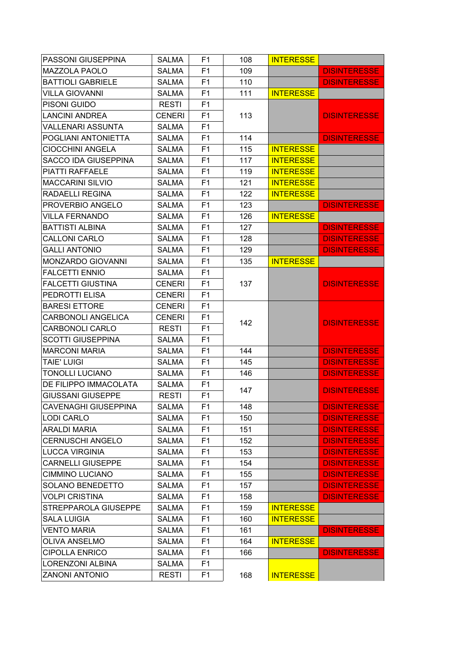| PASSONI GIUSEPPINA          | <b>SALMA</b>  | F1             | 108 | <b>INTERESSE</b> |                     |
|-----------------------------|---------------|----------------|-----|------------------|---------------------|
| <b>MAZZOLA PAOLO</b>        | <b>SALMA</b>  | F1             | 109 |                  | <b>DISINTERESSE</b> |
| <b>BATTIOLI GABRIELE</b>    | <b>SALMA</b>  | F <sub>1</sub> | 110 |                  | <b>DISINTERESSE</b> |
| <b>VILLA GIOVANNI</b>       | <b>SALMA</b>  | F1             | 111 | <b>INTERESSE</b> |                     |
| PISONI GUIDO                | <b>RESTI</b>  | F1             |     |                  |                     |
| <b>LANCINI ANDREA</b>       | <b>CENERI</b> | F1             | 113 |                  | <b>DISINTERESSE</b> |
| <b>VALLENARI ASSUNTA</b>    | <b>SALMA</b>  | F <sub>1</sub> |     |                  |                     |
| POGLIANI ANTONIETTA         | <b>SALMA</b>  | F <sub>1</sub> | 114 |                  | <b>DISINTERESSE</b> |
| <b>CIOCCHINI ANGELA</b>     | <b>SALMA</b>  | F <sub>1</sub> | 115 | <b>INTERESSE</b> |                     |
| <b>SACCO IDA GIUSEPPINA</b> | <b>SALMA</b>  | F1             | 117 | <b>INTERESSE</b> |                     |
| PIATTI RAFFAELE             | <b>SALMA</b>  | F <sub>1</sub> | 119 | <b>INTERESSE</b> |                     |
| <b>MACCARINI SILVIO</b>     | <b>SALMA</b>  | F <sub>1</sub> | 121 | <b>INTERESSE</b> |                     |
| <b>RADAELLI REGINA</b>      | <b>SALMA</b>  | F <sub>1</sub> | 122 | <b>INTERESSE</b> |                     |
| PROVERBIO ANGELO            | <b>SALMA</b>  | F <sub>1</sub> | 123 |                  | <b>DISINTERESSE</b> |
| <b>VILLA FERNANDO</b>       | <b>SALMA</b>  | F <sub>1</sub> | 126 | <b>INTERESSE</b> |                     |
| <b>BATTISTI ALBINA</b>      | <b>SALMA</b>  | F <sub>1</sub> | 127 |                  | <b>DISINTERESSE</b> |
| <b>CALLONI CARLO</b>        | <b>SALMA</b>  | F1             | 128 |                  | <b>DISINTERESSE</b> |
| <b>GALLI ANTONIO</b>        | <b>SALMA</b>  | F1             | 129 |                  | <b>DISINTERESSE</b> |
| <b>MONZARDO GIOVANNI</b>    | <b>SALMA</b>  | F <sub>1</sub> | 135 | <b>INTERESSE</b> |                     |
| <b>FALCETTI ENNIO</b>       | <b>SALMA</b>  | F1             |     |                  |                     |
| <b>FALCETTI GIUSTINA</b>    | <b>CENERI</b> | F1             | 137 |                  | <b>DISINTERESSE</b> |
| PEDROTTI ELISA              | <b>CENERI</b> | F <sub>1</sub> |     |                  |                     |
| <b>BARESI ETTORE</b>        | <b>CENERI</b> | F <sub>1</sub> |     |                  |                     |
| CARBONOLI ANGELICA          | <b>CENERI</b> | F <sub>1</sub> |     |                  |                     |
| <b>CARBONOLI CARLO</b>      | <b>RESTI</b>  | F1             | 142 |                  | <b>DISINTERESSE</b> |
| <b>SCOTTI GIUSEPPINA</b>    | <b>SALMA</b>  | F <sub>1</sub> |     |                  |                     |
| <b>MARCONI MARIA</b>        | <b>SALMA</b>  | F <sub>1</sub> | 144 |                  | <b>DISINTERESSE</b> |
| <b>TAIE' LUIGI</b>          | <b>SALMA</b>  | F <sub>1</sub> | 145 |                  | <b>DISINTERESSE</b> |
| <b>TONOLLI LUCIANO</b>      | <b>SALMA</b>  | F <sub>1</sub> | 146 |                  | <b>DISINTERESSE</b> |
| DE FILIPPO IMMACOLATA       | <b>SALMA</b>  | F1             |     |                  |                     |
| <b>GIUSSANI GIUSEPPE</b>    | <b>RESTI</b>  | F <sub>1</sub> | 147 |                  | <b>DISINTERESSE</b> |
| <b>CAVENAGHI GIUSEPPINA</b> | SALMA         | F <sub>1</sub> | 148 |                  | <b>DISINTERESSE</b> |
| <b>LODI CARLO</b>           | <b>SALMA</b>  | F <sub>1</sub> | 150 |                  | <b>DISINTERESSE</b> |
| <b>ARALDI MARIA</b>         | <b>SALMA</b>  | F <sub>1</sub> | 151 |                  | <b>DISINTERESSE</b> |
| <b>CERNUSCHI ANGELO</b>     | <b>SALMA</b>  | F <sub>1</sub> | 152 |                  | <b>DISINTERESSE</b> |
| <b>LUCCA VIRGINIA</b>       | <b>SALMA</b>  | F <sub>1</sub> | 153 |                  | <b>DISINTERESSE</b> |
| <b>CARNELLI GIUSEPPE</b>    | <b>SALMA</b>  | F <sub>1</sub> | 154 |                  | <b>DISINTERESSE</b> |
| <b>CIMMINO LUCIANO</b>      | <b>SALMA</b>  | F1             | 155 |                  | <b>DISINTERESSE</b> |
| <b>SOLANO BENEDETTO</b>     | <b>SALMA</b>  | F <sub>1</sub> | 157 |                  | <b>DISINTERESSE</b> |
| <b>VOLPI CRISTINA</b>       | <b>SALMA</b>  | F <sub>1</sub> | 158 |                  | <b>DISINTERESSE</b> |
| STREPPAROLA GIUSEPPE        | <b>SALMA</b>  | F <sub>1</sub> | 159 | <b>INTERESSE</b> |                     |
| <b>SALA LUIGIA</b>          | <b>SALMA</b>  | F1             | 160 | <b>INTERESSE</b> |                     |
| <b>VENTO MARIA</b>          | <b>SALMA</b>  | F1             | 161 |                  | <b>DISINTERESSE</b> |
| OLIVA ANSELMO               | <b>SALMA</b>  | F <sub>1</sub> | 164 | <b>INTERESSE</b> |                     |
| <b>CIPOLLA ENRICO</b>       | <b>SALMA</b>  | F <sub>1</sub> | 166 |                  | <b>DISINTERESSE</b> |
| LORENZONI ALBINA            | <b>SALMA</b>  | F <sub>1</sub> |     |                  |                     |
| <b>ZANONI ANTONIO</b>       | <b>RESTI</b>  | F <sub>1</sub> | 168 | <b>INTERESSE</b> |                     |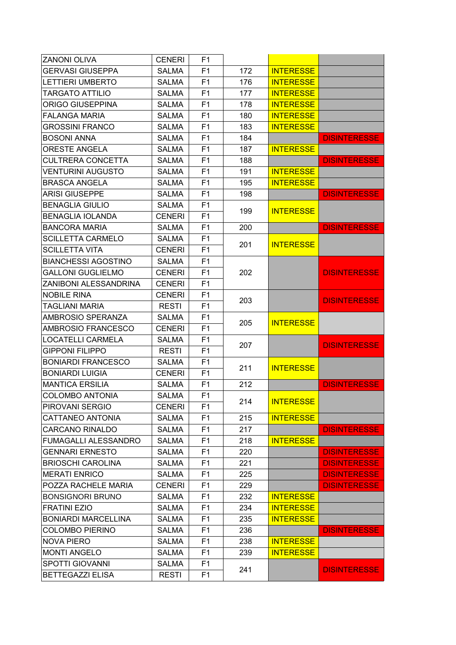| <b>ZANONI OLIVA</b>         | <b>CENERI</b> | F1             |     |                  |                     |
|-----------------------------|---------------|----------------|-----|------------------|---------------------|
| <b>GERVASI GIUSEPPA</b>     | <b>SALMA</b>  | F1             | 172 | <b>INTERESSE</b> |                     |
| <b>LETTIERI UMBERTO</b>     | <b>SALMA</b>  | F <sub>1</sub> | 176 | <b>INTERESSE</b> |                     |
| <b>TARGATO ATTILIO</b>      | <b>SALMA</b>  | F1             | 177 | <b>INTERESSE</b> |                     |
| <b>ORIGO GIUSEPPINA</b>     | <b>SALMA</b>  | F <sub>1</sub> | 178 | <b>INTERESSE</b> |                     |
| <b>FALANGA MARIA</b>        | <b>SALMA</b>  | F <sub>1</sub> | 180 | <b>INTERESSE</b> |                     |
| <b>GROSSINI FRANCO</b>      | <b>SALMA</b>  | F <sub>1</sub> | 183 | <b>INTERESSE</b> |                     |
| <b>BOSONI ANNA</b>          | SALMA         | F <sub>1</sub> | 184 |                  | <b>DISINTERESSE</b> |
| <b>ORESTE ANGELA</b>        | <b>SALMA</b>  | F <sub>1</sub> | 187 | <b>INTERESSE</b> |                     |
| <b>CULTRERA CONCETTA</b>    | SALMA         | F <sub>1</sub> | 188 |                  | <b>DISINTERESSE</b> |
| <b>VENTURINI AUGUSTO</b>    | <b>SALMA</b>  | F <sub>1</sub> | 191 | <b>INTERESSE</b> |                     |
| <b>BRASCA ANGELA</b>        | <b>SALMA</b>  | F <sub>1</sub> | 195 | <b>INTERESSE</b> |                     |
| <b>ARISI GIUSEPPE</b>       | SALMA         | F <sub>1</sub> | 198 |                  | <b>DISINTERESSE</b> |
| <b>BENAGLIA GIULIO</b>      | <b>SALMA</b>  | F <sub>1</sub> |     |                  |                     |
| <b>BENAGLIA IOLANDA</b>     | <b>CENERI</b> | F <sub>1</sub> | 199 | <b>INTERESSE</b> |                     |
| <b>BANCORA MARIA</b>        | <b>SALMA</b>  | F <sub>1</sub> | 200 |                  | <b>DISINTERESSE</b> |
| <b>SCILLETTA CARMELO</b>    | <b>SALMA</b>  | F <sub>1</sub> |     |                  |                     |
| <b>SCILLETTA VITA</b>       | <b>CENERI</b> | F1             | 201 | <b>INTERESSE</b> |                     |
| <b>BIANCHESSI AGOSTINO</b>  | <b>SALMA</b>  | F <sub>1</sub> |     |                  |                     |
| <b>GALLONI GUGLIELMO</b>    | <b>CENERI</b> | F <sub>1</sub> | 202 |                  | <b>DISINTERESSE</b> |
| ZANIBONI ALESSANDRINA       | <b>CENERI</b> | F <sub>1</sub> |     |                  |                     |
| <b>NOBILE RINA</b>          | <b>CENERI</b> | F <sub>1</sub> |     |                  |                     |
| <b>TAGLIANI MARIA</b>       | <b>RESTI</b>  | F <sub>1</sub> | 203 |                  | <b>DISINTERESSE</b> |
| AMBROSIO SPERANZA           | <b>SALMA</b>  | F <sub>1</sub> |     |                  |                     |
| AMBROSIO FRANCESCO          | <b>CENERI</b> | F <sub>1</sub> | 205 | <b>INTERESSE</b> |                     |
| <b>LOCATELLI CARMELA</b>    | <b>SALMA</b>  | F1             |     |                  |                     |
| <b>GIPPONI FILIPPO</b>      | <b>RESTI</b>  | F <sub>1</sub> | 207 |                  | <b>DISINTERESSE</b> |
| <b>BONIARDI FRANCESCO</b>   | <b>SALMA</b>  | F1             |     |                  |                     |
| <b>BONIARDI LUIGIA</b>      | <b>CENERI</b> | F <sub>1</sub> | 211 | <b>INTERESSE</b> |                     |
| <b>MANTICA ERSILIA</b>      | <b>SALMA</b>  | F <sub>1</sub> | 212 |                  | <b>DISINTERESSE</b> |
| <b>COLOMBO ANTONIA</b>      | <b>SALMA</b>  | F <sub>1</sub> |     |                  |                     |
| PIROVANI SERGIO             | <b>CENERI</b> | F <sub>1</sub> | 214 | <b>INTERESSE</b> |                     |
| CATTANEO ANTONIA            | <b>SALMA</b>  | F1             | 215 | <b>INTERESSE</b> |                     |
| <b>CARCANO RINALDO</b>      | <b>SALMA</b>  | F <sub>1</sub> | 217 |                  | <b>DISINTERESSE</b> |
| <b>FUMAGALLI ALESSANDRO</b> | <b>SALMA</b>  | F <sub>1</sub> | 218 | <b>INTERESSE</b> |                     |
| <b>GENNARI ERNESTO</b>      | <b>SALMA</b>  | F <sub>1</sub> | 220 |                  | <b>DISINTERESSE</b> |
| <b>BRIOSCHI CAROLINA</b>    | <b>SALMA</b>  | F <sub>1</sub> | 221 |                  | <b>DISINTERESSE</b> |
| <b>MERATI ENRICO</b>        | <b>SALMA</b>  | F <sub>1</sub> | 225 |                  | <b>DISINTERESSE</b> |
| POZZA RACHELE MARIA         | <b>CENERI</b> | F <sub>1</sub> | 229 |                  | <b>DISINTERESSE</b> |
| <b>BONSIGNORI BRUNO</b>     | <b>SALMA</b>  | F <sub>1</sub> | 232 | <b>INTERESSE</b> |                     |
| <b>FRATINI EZIO</b>         | <b>SALMA</b>  | F <sub>1</sub> | 234 | <b>INTERESSE</b> |                     |
| <b>BONIARDI MARCELLINA</b>  | <b>SALMA</b>  | F <sub>1</sub> | 235 | <b>INTERESSE</b> |                     |
| <b>COLOMBO PIERINO</b>      | <b>SALMA</b>  | F1             | 236 |                  | <b>DISINTERESSE</b> |
| <b>NOVA PIERO</b>           | <b>SALMA</b>  | F <sub>1</sub> | 238 | <b>INTERESSE</b> |                     |
| <b>MONTI ANGELO</b>         | <b>SALMA</b>  | F <sub>1</sub> | 239 | <b>INTERESSE</b> |                     |
| <b>SPOTTI GIOVANNI</b>      | <b>SALMA</b>  | F <sub>1</sub> |     |                  |                     |
| <b>BETTEGAZZI ELISA</b>     | <b>RESTI</b>  | F <sub>1</sub> | 241 |                  | <b>DISINTERESSE</b> |